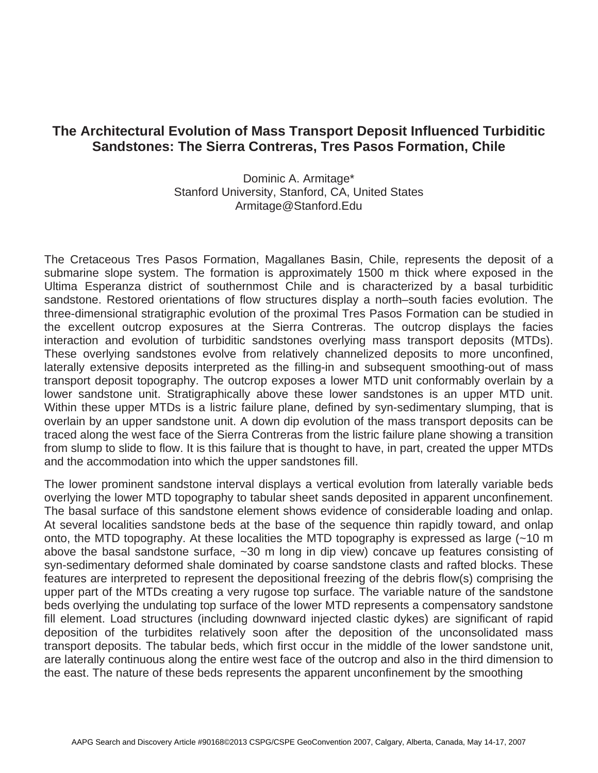## **The Architectural Evolution of Mass Transport Deposit Influenced Turbiditic Sandstones: The Sierra Contreras, Tres Pasos Formation, Chile**

## Dominic A. Armitage\* Stanford University, Stanford, CA, United States Armitage@Stanford.Edu

The Cretaceous Tres Pasos Formation, Magallanes Basin, Chile, represents the deposit of a submarine slope system. The formation is approximately 1500 m thick where exposed in the Ultima Esperanza district of southernmost Chile and is characterized by a basal turbiditic sandstone. Restored orientations of flow structures display a north–south facies evolution. The three-dimensional stratigraphic evolution of the proximal Tres Pasos Formation can be studied in the excellent outcrop exposures at the Sierra Contreras. The outcrop displays the facies interaction and evolution of turbiditic sandstones overlying mass transport deposits (MTDs). These overlying sandstones evolve from relatively channelized deposits to more unconfined, laterally extensive deposits interpreted as the filling-in and subsequent smoothing-out of mass transport deposit topography. The outcrop exposes a lower MTD unit conformably overlain by a lower sandstone unit. Stratigraphically above these lower sandstones is an upper MTD unit. Within these upper MTDs is a listric failure plane, defined by syn-sedimentary slumping, that is overlain by an upper sandstone unit. A down dip evolution of the mass transport deposits can be traced along the west face of the Sierra Contreras from the listric failure plane showing a transition from slump to slide to flow. It is this failure that is thought to have, in part, created the upper MTDs and the accommodation into which the upper sandstones fill.

The lower prominent sandstone interval displays a vertical evolution from laterally variable beds overlying the lower MTD topography to tabular sheet sands deposited in apparent unconfinement. The basal surface of this sandstone element shows evidence of considerable loading and onlap. At several localities sandstone beds at the base of the sequence thin rapidly toward, and onlap onto, the MTD topography. At these localities the MTD topography is expressed as large (~10 m above the basal sandstone surface, ~30 m long in dip view) concave up features consisting of syn-sedimentary deformed shale dominated by coarse sandstone clasts and rafted blocks. These features are interpreted to represent the depositional freezing of the debris flow(s) comprising the upper part of the MTDs creating a very rugose top surface. The variable nature of the sandstone beds overlying the undulating top surface of the lower MTD represents a compensatory sandstone fill element. Load structures (including downward injected clastic dykes) are significant of rapid deposition of the turbidites relatively soon after the deposition of the unconsolidated mass transport deposits. The tabular beds, which first occur in the middle of the lower sandstone unit, are laterally continuous along the entire west face of the outcrop and also in the third dimension to the east. The nature of these beds represents the apparent unconfinement by the smoothing